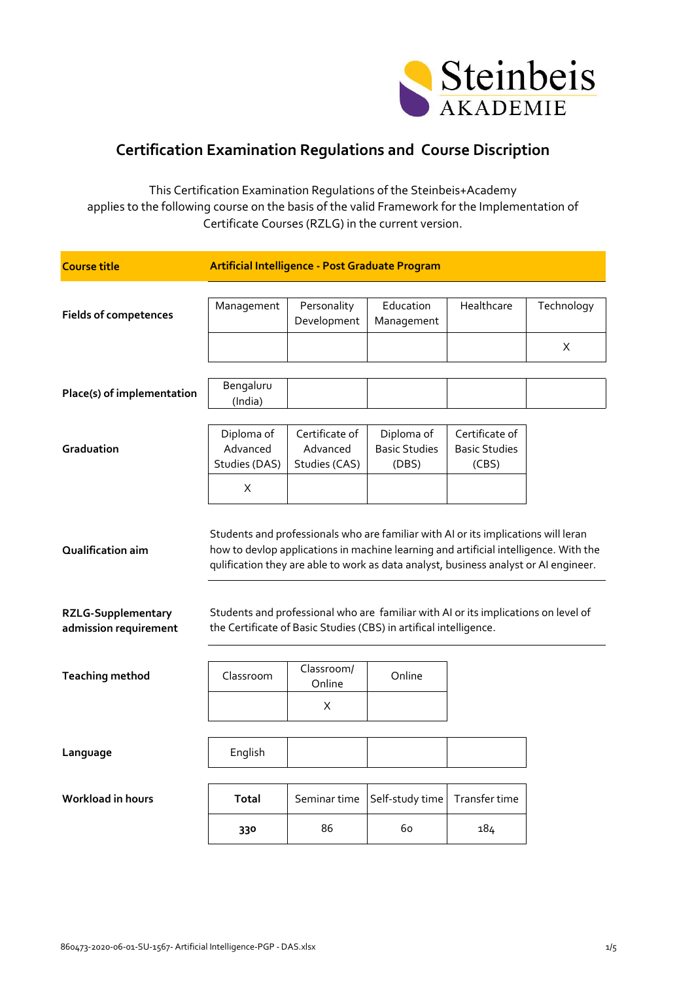

## **Certification Examination Regulations and Course Discription**

This Certification Examination Regulations of the Steinbeis+Academy applies to the following course on the basis of the valid Framework for the Implementation of Certificate Courses (RZLG) in the current version.

| <b>Course title</b>                                |                                                                                                                                                         | Artificial Intelligence - Post Graduate Program |                                                                                                                                                                                                                                                                    |                                                 |                 |
|----------------------------------------------------|---------------------------------------------------------------------------------------------------------------------------------------------------------|-------------------------------------------------|--------------------------------------------------------------------------------------------------------------------------------------------------------------------------------------------------------------------------------------------------------------------|-------------------------------------------------|-----------------|
| <b>Fields of competences</b>                       | Management                                                                                                                                              | Personality<br>Development                      | Education<br>Management                                                                                                                                                                                                                                            | Healthcare                                      | Technology<br>X |
| Place(s) of implementation                         | Bengaluru<br>(India)                                                                                                                                    |                                                 |                                                                                                                                                                                                                                                                    |                                                 |                 |
| Graduation                                         | Diploma of<br>Advanced<br>Studies (DAS)                                                                                                                 | Certificate of<br>Advanced<br>Studies (CAS)     | Diploma of<br><b>Basic Studies</b><br>(DBS)                                                                                                                                                                                                                        | Certificate of<br><b>Basic Studies</b><br>(CBS) |                 |
| Qualification aim                                  | X                                                                                                                                                       |                                                 | Students and professionals who are familiar with AI or its implications will leran<br>how to devlop applications in machine learning and artificial intelligence. With the<br>qulification they are able to work as data analyst, business analyst or AI engineer. |                                                 |                 |
| <b>RZLG-Supplementary</b><br>admission requirement | Students and professional who are familiar with AI or its implications on level of<br>the Certificate of Basic Studies (CBS) in artifical intelligence. |                                                 |                                                                                                                                                                                                                                                                    |                                                 |                 |
| <b>Teaching method</b>                             | Classroom                                                                                                                                               | Classroom/<br>Online                            | Online                                                                                                                                                                                                                                                             |                                                 |                 |
|                                                    |                                                                                                                                                         | X                                               |                                                                                                                                                                                                                                                                    |                                                 |                 |
| Language                                           | English                                                                                                                                                 |                                                 |                                                                                                                                                                                                                                                                    |                                                 |                 |
| Workload in hours                                  | <b>Total</b>                                                                                                                                            | Seminar time                                    | Self-study time                                                                                                                                                                                                                                                    | Transfer time                                   |                 |
|                                                    | 330                                                                                                                                                     | 86                                              | 60                                                                                                                                                                                                                                                                 | 184                                             |                 |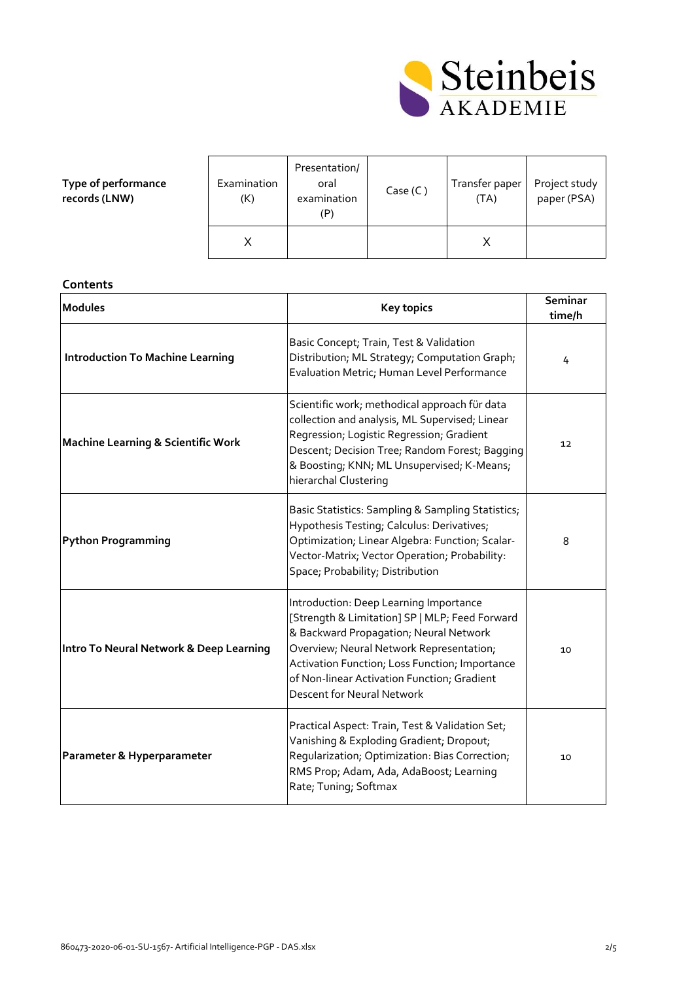

| Type of performance |
|---------------------|
| records (LNW)       |

| Examination<br>(K) | Presentation/<br>oral<br>examination | Case (C) | Transfer paper<br>(TA) | Project study<br>paper (PSA) |
|--------------------|--------------------------------------|----------|------------------------|------------------------------|
|                    |                                      |          |                        |                              |

## **Contents**

| <b>Modules</b>                                | <b>Key topics</b>                                                                                                                                                                                                                                                                                                    | Seminar<br>time/h |
|-----------------------------------------------|----------------------------------------------------------------------------------------------------------------------------------------------------------------------------------------------------------------------------------------------------------------------------------------------------------------------|-------------------|
| <b>Introduction To Machine Learning</b>       | Basic Concept; Train, Test & Validation<br>Distribution; ML Strategy; Computation Graph;<br>Evaluation Metric; Human Level Performance                                                                                                                                                                               | 4                 |
| <b>Machine Learning &amp; Scientific Work</b> | Scientific work; methodical approach für data<br>collection and analysis, ML Supervised; Linear<br>Regression; Logistic Regression; Gradient<br>Descent; Decision Tree; Random Forest; Bagging<br>& Boosting; KNN; ML Unsupervised; K-Means;<br>hierarchal Clustering                                                | $12 \overline{ }$ |
| <b>Python Programming</b>                     | Basic Statistics: Sampling & Sampling Statistics;<br>Hypothesis Testing; Calculus: Derivatives;<br>Optimization; Linear Algebra: Function; Scalar-<br>Vector-Matrix; Vector Operation; Probability:<br>Space; Probability; Distribution                                                                              | 8                 |
| Intro To Neural Network & Deep Learning       | Introduction: Deep Learning Importance<br>[Strength & Limitation] SP   MLP; Feed Forward<br>& Backward Propagation; Neural Network<br>Overview; Neural Network Representation;<br>Activation Function; Loss Function; Importance<br>of Non-linear Activation Function; Gradient<br><b>Descent for Neural Network</b> | 10                |
| Parameter & Hyperparameter                    | Practical Aspect: Train, Test & Validation Set;<br>Vanishing & Exploding Gradient; Dropout;<br>Regularization; Optimization: Bias Correction;<br>RMS Prop; Adam, Ada, AdaBoost; Learning<br>Rate; Tuning; Softmax                                                                                                    | 10                |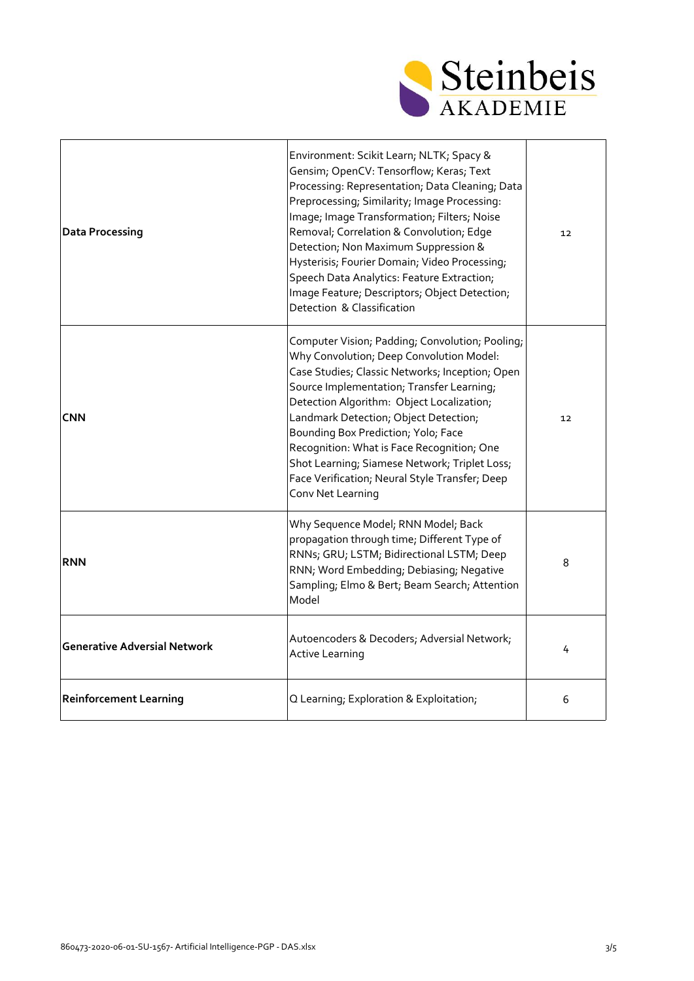

| <b>Data Processing</b>              | Environment: Scikit Learn; NLTK; Spacy &<br>Gensim; OpenCV: Tensorflow; Keras; Text<br>Processing: Representation; Data Cleaning; Data<br>Preprocessing; Similarity; Image Processing:<br>Image; Image Transformation; Filters; Noise<br>Removal; Correlation & Convolution; Edge<br>Detection; Non Maximum Suppression &<br>Hysterisis; Fourier Domain; Video Processing;<br>Speech Data Analytics: Feature Extraction;<br>Image Feature; Descriptors; Object Detection;<br>Detection & Classification | $12 \overline{ }$ |
|-------------------------------------|---------------------------------------------------------------------------------------------------------------------------------------------------------------------------------------------------------------------------------------------------------------------------------------------------------------------------------------------------------------------------------------------------------------------------------------------------------------------------------------------------------|-------------------|
| <b>CNN</b>                          | Computer Vision; Padding; Convolution; Pooling;<br>Why Convolution; Deep Convolution Model:<br>Case Studies; Classic Networks; Inception; Open<br>Source Implementation; Transfer Learning;<br>Detection Algorithm: Object Localization;<br>Landmark Detection; Object Detection;<br>Bounding Box Prediction; Yolo; Face<br>Recognition: What is Face Recognition; One<br>Shot Learning; Siamese Network; Triplet Loss;<br>Face Verification; Neural Style Transfer; Deep<br>Conv Net Learning          | $12 \overline{ }$ |
| <b>RNN</b>                          | Why Sequence Model; RNN Model; Back<br>propagation through time; Different Type of<br>RNNs; GRU; LSTM; Bidirectional LSTM; Deep<br>RNN; Word Embedding; Debiasing; Negative<br>Sampling; Elmo & Bert; Beam Search; Attention<br>Model                                                                                                                                                                                                                                                                   | 8                 |
| <b>Generative Adversial Network</b> | Autoencoders & Decoders; Adversial Network;<br><b>Active Learning</b>                                                                                                                                                                                                                                                                                                                                                                                                                                   | 4                 |
| <b>Reinforcement Learning</b>       | Q Learning; Exploration & Exploitation;                                                                                                                                                                                                                                                                                                                                                                                                                                                                 | 6                 |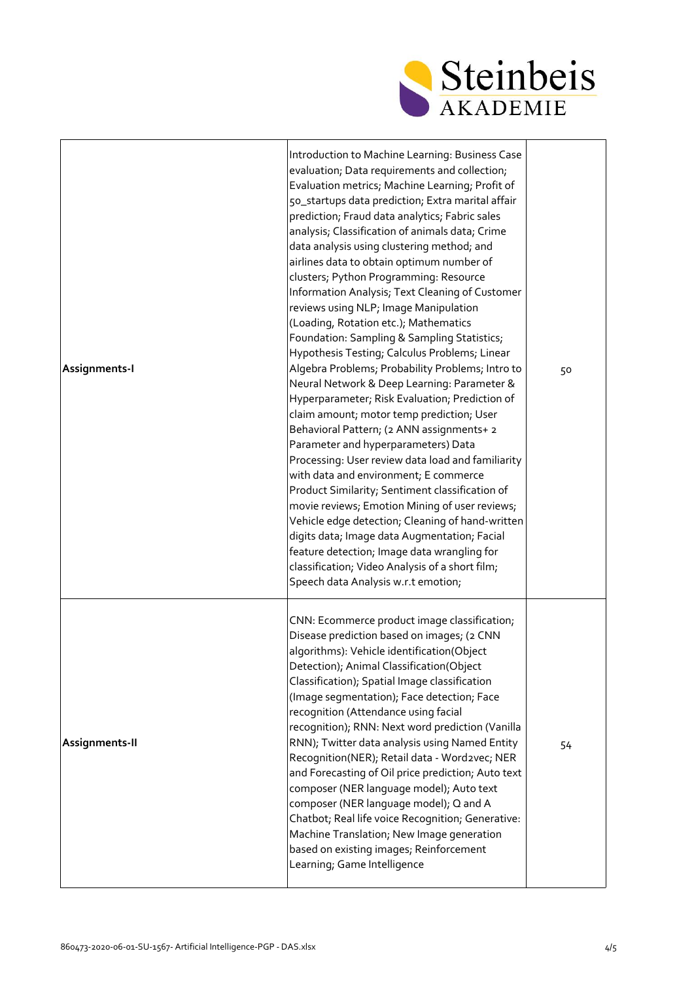

| Assignments-I  | Introduction to Machine Learning: Business Case<br>evaluation; Data requirements and collection;<br>Evaluation metrics; Machine Learning; Profit of<br>50_startups data prediction; Extra marital affair<br>prediction; Fraud data analytics; Fabric sales<br>analysis; Classification of animals data; Crime<br>data analysis using clustering method; and<br>airlines data to obtain optimum number of<br>clusters; Python Programming: Resource<br>Information Analysis; Text Cleaning of Customer<br>reviews using NLP; Image Manipulation<br>(Loading, Rotation etc.); Mathematics<br>Foundation: Sampling & Sampling Statistics;<br>Hypothesis Testing; Calculus Problems; Linear<br>Algebra Problems; Probability Problems; Intro to<br>Neural Network & Deep Learning: Parameter &<br>Hyperparameter; Risk Evaluation; Prediction of<br>claim amount; motor temp prediction; User<br>Behavioral Pattern; (2 ANN assignments+ 2<br>Parameter and hyperparameters) Data<br>Processing: User review data load and familiarity<br>with data and environment; E commerce<br>Product Similarity; Sentiment classification of<br>movie reviews; Emotion Mining of user reviews;<br>Vehicle edge detection; Cleaning of hand-written<br>digits data; Image data Augmentation; Facial<br>feature detection; Image data wrangling for<br>classification; Video Analysis of a short film;<br>Speech data Analysis w.r.t emotion; | 50 |
|----------------|-------------------------------------------------------------------------------------------------------------------------------------------------------------------------------------------------------------------------------------------------------------------------------------------------------------------------------------------------------------------------------------------------------------------------------------------------------------------------------------------------------------------------------------------------------------------------------------------------------------------------------------------------------------------------------------------------------------------------------------------------------------------------------------------------------------------------------------------------------------------------------------------------------------------------------------------------------------------------------------------------------------------------------------------------------------------------------------------------------------------------------------------------------------------------------------------------------------------------------------------------------------------------------------------------------------------------------------------------------------------------------------------------------------------------------|----|
| Assignments-II | CNN: Ecommerce product image classification;<br>Disease prediction based on images; (2 CNN<br>algorithms): Vehicle identification(Object<br>Detection); Animal Classification(Object<br>Classification); Spatial Image classification<br>(Image segmentation); Face detection; Face<br>recognition (Attendance using facial<br>recognition); RNN: Next word prediction (Vanilla<br>RNN); Twitter data analysis using Named Entity<br>Recognition(NER); Retail data - Word2vec; NER<br>and Forecasting of Oil price prediction; Auto text<br>composer (NER language model); Auto text<br>composer (NER language model); Q and A<br>Chatbot; Real life voice Recognition; Generative:<br>Machine Translation; New Image generation<br>based on existing images; Reinforcement<br>Learning; Game Intelligence                                                                                                                                                                                                                                                                                                                                                                                                                                                                                                                                                                                                                    | 54 |